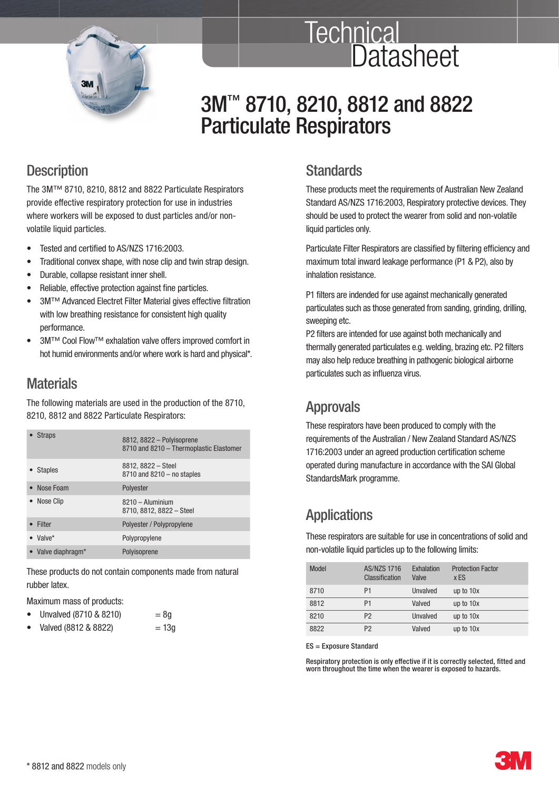

# **Technical Datasheet**

# 3M<sup>™</sup> 8710, 8210, 8812 and 8822 Particulate Respirators

### **Description**

 The 3M™ 8710, 8210, 8812 and 8822 Particulate Respirators provide effective respiratory protection for use in industries where workers will be exposed to dust particles and/or nonvolatile liquid particles.

- Tested and certified to AS/NZS 1716:2003.
- Traditional convex shape, with nose clip and twin strap design.
- Durable, collapse resistant inner shell.
- Reliable, effective protection against fine particles.
- 3M™ Advanced Electret Filter Material gives effective filtration with low breathing resistance for consistent high quality performance.
- 3M™ Cool Flow™ exhalation valve offers improved comfort in hot humid environments and/or where work is hard and physical\*.

### **Materials**

 The following materials are used in the production of the 8710, 8210, 8812 and 8822 Particulate Respirators:

| <b>Straps</b>    | 8812, 8822 - Polyisoprene<br>8710 and 8210 - Thermoplastic Elastomer |
|------------------|----------------------------------------------------------------------|
| <b>Staples</b>   | 8812, 8822 - Steel<br>$8710$ and $8210 -$ no staples                 |
| Nose Foam        | Polyester                                                            |
| • Nose Clip      | $8210 -$ Aluminium<br>8710, 8812, 8822 - Steel                       |
| Filter           | Polyester / Polypropylene                                            |
| $\bullet$ Valve* | Polypropylene                                                        |
| Valve diaphragm* | Polyisoprene                                                         |

 These products do not contain components made from natural rubber latex.

Maximum mass of products:

|  |  | Unvalved (8710 & 8210) | $=8g$ |
|--|--|------------------------|-------|
|--|--|------------------------|-------|

 $Valued (8812 & 8822) = 13g$ 

### **Standards**

 These products meet the requirements of Australian New Zealand Standard AS/NZS 1716:2003, Respiratory protective devices. They should be used to protect the wearer from solid and non-volatile liquid particles only.

Particulate Filter Respirators are classified by filtering efficiency and maximum total inward leakage performance (P1 & P2), also by inhalation resistance.

P1 filters are indended for use against mechanically generated particulates such as those generated from sanding, grinding, drilling, sweeping etc.

P2 filters are intended for use against both mechanically and thermally generated particulates e.g. welding, brazing etc. P2 filters may also help reduce breathing in pathogenic biological airborne particulates such as influenza virus.

### Approvals

 These respirators have been produced to comply with the requirements of the Australian / New Zealand Standard AS/NZS 1716:2003 under an agreed production certification scheme operated during manufacture in accordance with the SAI Global StandardsMark programme.

## **Applications**

 These respirators are suitable for use in concentrations of solid and non-volatile liquid particles up to the following limits:

| Model | <b>AS/NZS 1716</b><br>Classification | Exhalation<br>Valve | <b>Protection Factor</b><br>x ES |
|-------|--------------------------------------|---------------------|----------------------------------|
| 8710  | P <sub>1</sub>                       | Unvalved            | up to 10x                        |
| 8812  | P1                                   | Valved              | up to 10x                        |
| 8210  | P <sub>2</sub>                       | Unvalved            | up to 10x                        |
| 8822  | P <sub>2</sub>                       | Valved              | up to 10x                        |

ES = Exposure Standard

Respiratory protection is only effective if it is correctly selected, fitted and worn throughout the time when the wearer is exposed to hazards.

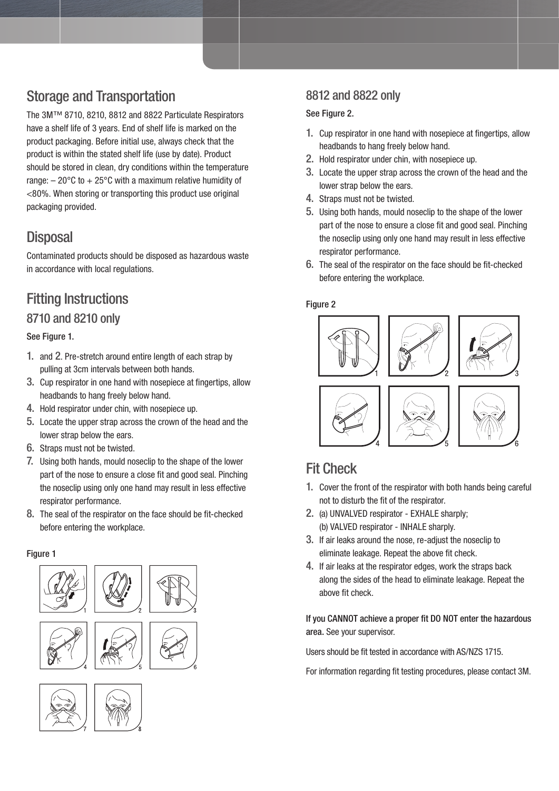# Storage and Transportation

 The 3M™ 8710, 8210, 8812 and 8822 Particulate Respirators have a shelf life of 3 years. End of shelf life is marked on the product packaging. Before initial use, always check that the product is within the stated shelf life (use by date). Product should be stored in clean, dry conditions within the temperature range:  $-20^{\circ}$ C to  $+25^{\circ}$ C with a maximum relative humidity of <80%. When storing or transporting this product use original packaging provided.

### **Disposal**

 Contaminated products should be disposed as hazardous waste in accordance with local regulations.

### Fitting Instructions 8710 and 8210 only

### See Figure 1.

- 1. and 2. Pre-stretch around entire length of each strap by pulling at 3cm intervals between both hands.
- 3. Cup respirator in one hand with nosepiece at fingertips, allow headbands to hang freely below hand.
- 4. Hold respirator under chin, with nosepiece up.
- 5. Locate the upper strap across the crown of the head and the lower strap below the ears.
- 6. Straps must not be twisted.
- 7. Using both hands, mould noseclip to the shape of the lower part of the nose to ensure a close fit and good seal. Pinching the noseclip using only one hand may result in less effective respirator performance.
- 8. The seal of the respirator on the face should be fit-checked before entering the workplace.

#### Figure 1



### 8812 and 8822 only

#### See Figure 2.

- 1. Cup respirator in one hand with nosepiece at fingertips, allow headbands to hang freely below hand.
- 2. Hold respirator under chin, with nosepiece up.
- 3. Locate the upper strap across the crown of the head and the lower strap below the ears.
- 4. Straps must not be twisted.
- 5. Using both hands, mould noseclip to the shape of the lower part of the nose to ensure a close fit and good seal. Pinching the noseclip using only one hand may result in less effective respirator performance.
- 6. The seal of the respirator on the face should be fit-checked before entering the workplace.

#### Figure 2





### Fit Check

- 1. Cover the front of the respirator with both hands being careful not to disturb the fit of the respirator.
- 2. (a) UNVALVED respirator EXHALE sharply; (b) VALVED respirator - INHALE sharply.
- 3. If air leaks around the nose, re-adjust the noseclip to eliminate leakage. Repeat the above fit check.
- 4. If air leaks at the respirator edges, work the straps back along the sides of the head to eliminate leakage. Repeat the above fit check.

### If you CANNOT achieve a proper fit DO NOT enter the hazardous area. See your supervisor.

Users should be fit tested in accordance with AS/NZS 1715.

For information regarding fit testing procedures, please contact 3M.